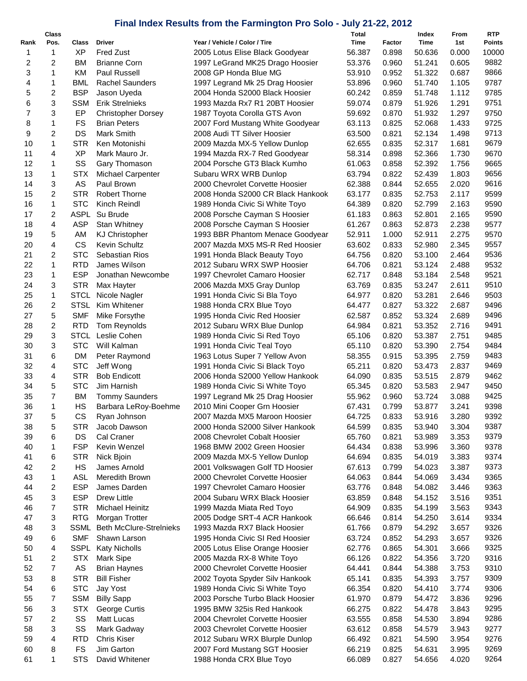## **Final Index Results from the Farmington Pro Solo - July 21-22, 2012**

|      | Class |             |                                |                                   | Total  |        | Index  | From  | <b>RTP</b> |
|------|-------|-------------|--------------------------------|-----------------------------------|--------|--------|--------|-------|------------|
| Rank | Pos.  | Class       | <b>Driver</b>                  | Year / Vehicle / Color / Tire     | Time   | Factor | Time   | 1st   | Points     |
| 1    | 1     | XP          | <b>Fred Zust</b>               | 2005 Lotus Elise Black Goodyear   | 56.387 | 0.898  | 50.636 | 0.000 | 10000      |
| 2    | 2     | ВM          | <b>Brianne Corn</b>            | 1997 LeGrand MK25 Drago Hoosier   | 53.376 | 0.960  | 51.241 | 0.605 | 9882       |
| 3    | 1     | KM          | Paul Russell                   | 2008 GP Honda Blue MG             | 53.910 | 0.952  | 51.322 | 0.687 | 9866       |
| 4    | 1     | <b>BML</b>  | <b>Rachel Saunders</b>         | 1997 Legrand Mk 25 Drag Hoosier   | 53.896 | 0.960  | 51.740 | 1.105 | 9787       |
| 5    | 2     | <b>BSP</b>  | Jason Uyeda                    | 2004 Honda S2000 Black Hoosier    | 60.242 | 0.859  | 51.748 | 1.112 | 9785       |
| 6    | 3     | <b>SSM</b>  | Erik Strelnieks                | 1993 Mazda Rx7 R1 20BT Hoosier    | 59.074 | 0.879  | 51.926 | 1.291 | 9751       |
| 7    | 3     | EP          | <b>Christopher Dorsey</b>      | 1987 Toyota Corolla GTS Avon      | 59.692 | 0.870  | 51.932 | 1.297 | 9750       |
| 8    | 1     | <b>FS</b>   | <b>Brian Peters</b>            | 2007 Ford Mustang White Goodyear  | 63.113 | 0.825  | 52.068 | 1.433 | 9725       |
|      |       |             | Mark Smith                     |                                   |        |        |        |       |            |
| 9    | 2     | DS          |                                | 2008 Audi TT Silver Hoosier       | 63.500 | 0.821  | 52.134 | 1.498 | 9713       |
| 10   | 1     | <b>STR</b>  | Ken Motonishi                  | 2009 Mazda MX-5 Yellow Dunlop     | 62.655 | 0.835  | 52.317 | 1.681 | 9679       |
| 11   | 4     | <b>XP</b>   | Mark Mauro Jr.                 | 1994 Mazda RX-7 Red Goodyear      | 58.314 | 0.898  | 52.366 | 1.730 | 9670       |
| 12   | 1     | SS          | Gary Thomason                  | 2004 Porsche GT3 Black Kumho      | 61.063 | 0.858  | 52.392 | 1.756 | 9665       |
| 13   | 1     | <b>STX</b>  | Michael Carpenter              | Subaru WRX WRB Dunlop             | 63.794 | 0.822  | 52.439 | 1.803 | 9656       |
| 14   | 3     | AS          | Paul Brown                     | 2000 Chevrolet Corvette Hoosier   | 62.388 | 0.844  | 52.655 | 2.020 | 9616       |
| 15   | 2     | <b>STR</b>  | <b>Robert Thorne</b>           | 2008 Honda S2000 CR Black Hankook | 63.177 | 0.835  | 52.753 | 2.117 | 9599       |
| 16   | 1     | <b>STC</b>  | Kinch Reindl                   | 1989 Honda Civic Si White Toyo    | 64.389 | 0.820  | 52.799 | 2.163 | 9590       |
| 17   | 2     | <b>ASPL</b> | Su Brude                       | 2008 Porsche Cayman S Hoosier     | 61.183 | 0.863  | 52.801 | 2.165 | 9590       |
|      |       |             |                                |                                   |        |        |        |       |            |
| 18   | 4     | <b>ASP</b>  | <b>Stan Whitney</b>            | 2008 Porsche Cayman S Hoosier     | 61.267 | 0.863  | 52.873 | 2.238 | 9577       |
| 19   | 5     | AM          | <b>KJ Christopher</b>          | 1993 BBR Phantom Menace Goodyear  | 52.911 | 1.000  | 52.911 | 2.275 | 9570       |
| 20   | 4     | <b>CS</b>   | Kevin Schultz                  | 2007 Mazda MX5 MS-R Red Hoosier   | 63.602 | 0.833  | 52.980 | 2.345 | 9557       |
| 21   | 2     | <b>STC</b>  | Sebastian Rios                 | 1991 Honda Black Beauty Toyo      | 64.756 | 0.820  | 53.100 | 2.464 | 9536       |
| 22   | 1     | <b>RTD</b>  | James Wilson                   | 2012 Subaru WRX SWP Hoosier       | 64.706 | 0.821  | 53.124 | 2.488 | 9532       |
| 23   | 1     | <b>ESP</b>  | Jonathan Newcombe              | 1997 Chevrolet Camaro Hoosier     | 62.717 | 0.848  | 53.184 | 2.548 | 9521       |
| 24   | 3     | <b>STR</b>  | Max Hayter                     | 2006 Mazda MX5 Gray Dunlop        | 63.769 | 0.835  | 53.247 | 2.611 | 9510       |
| 25   | 1     | <b>STCL</b> | Nicole Nagler                  | 1991 Honda Civic Si Bla Toyo      | 64.977 | 0.820  | 53.281 | 2.646 | 9503       |
| 26   | 2     | <b>STSL</b> | Kim Whitener                   | 1988 Honda CRX Blue Toyo          | 64.477 | 0.827  | 53.322 | 2.687 | 9496       |
|      |       |             |                                |                                   |        |        |        |       | 9496       |
| 27   | 5     | <b>SMF</b>  | Mike Forsythe                  | 1995 Honda Civic Red Hoosier      | 62.587 | 0.852  | 53.324 | 2.689 |            |
| 28   | 2     | <b>RTD</b>  | Tom Reynolds                   | 2012 Subaru WRX Blue Dunlop       | 64.984 | 0.821  | 53.352 | 2.716 | 9491       |
| 29   | 3     | <b>STCL</b> | Leslie Cohen                   | 1989 Honda Civic Si Red Toyo      | 65.106 | 0.820  | 53.387 | 2.751 | 9485       |
| 30   | 3     | <b>STC</b>  | Will Kalman                    | 1991 Honda Civic Teal Toyo        | 65.110 | 0.820  | 53.390 | 2.754 | 9484       |
| 31   | 6     | <b>DM</b>   | Peter Raymond                  | 1963 Lotus Super 7 Yellow Avon    | 58.355 | 0.915  | 53.395 | 2.759 | 9483       |
| 32   | 4     | <b>STC</b>  | Jeff Wong                      | 1991 Honda Civic Si Black Toyo    | 65.211 | 0.820  | 53.473 | 2.837 | 9469       |
| 33   | 4     | <b>STR</b>  | <b>Bob Endicott</b>            | 2006 Honda S2000 Yellow Hankook   | 64.090 | 0.835  | 53.515 | 2.879 | 9462       |
| 34   | 5     | <b>STC</b>  | Jim Harnish                    | 1989 Honda Civic Si White Toyo    | 65.345 | 0.820  | 53.583 | 2.947 | 9450       |
| 35   | 7     | BM          | <b>Tommy Saunders</b>          | 1997 Legrand Mk 25 Drag Hoosier   | 55.962 | 0.960  | 53.724 | 3.088 | 9425       |
| 36   | 1     | HS          | Barbara LeRoy-Boehme           | 2010 Mini Cooper Grn Hoosier      | 67.431 | 0.799  | 53.877 | 3.241 | 9398       |
|      |       |             |                                |                                   |        |        |        |       |            |
| 37   | 5     | СS          | Ryan Johnson                   | 2007 Mazda MX5 Maroon Hoosier     | 64.725 | 0.833  | 53.916 | 3.280 | 9392       |
| 38   | 5     | <b>STR</b>  | Jacob Dawson                   | 2000 Honda S2000 Silver Hankook   | 64.599 | 0.835  | 53.940 | 3.304 | 9387       |
| 39   | 6     | DS          | Cal Craner                     | 2008 Chevrolet Cobalt Hoosier     | 65.760 | 0.821  | 53.989 | 3.353 | 9379       |
| 40   | 1     | <b>FSP</b>  | Kevin Wenzel                   | 1968 BMW 2002 Green Hoosier       | 64.434 | 0.838  | 53.996 | 3.360 | 9378       |
| 41   | 6     | <b>STR</b>  | Nick Bjoin                     | 2009 Mazda MX-5 Yellow Dunlop     | 64.694 | 0.835  | 54.019 | 3.383 | 9374       |
| 42   | 2     | HS          | James Arnold                   | 2001 Volkswagen Golf TD Hoosier   | 67.613 | 0.799  | 54.023 | 3.387 | 9373       |
| 43   | 1     | <b>ASL</b>  | Meredith Brown                 | 2000 Chevrolet Corvette Hoosier   | 64.063 | 0.844  | 54.069 | 3.434 | 9365       |
| 44   | 2     | <b>ESP</b>  | James Darden                   | 1997 Chevrolet Camaro Hoosier     | 63.776 | 0.848  | 54.082 | 3.446 | 9363       |
| 45   | 3     | <b>ESP</b>  | Drew Little                    | 2004 Subaru WRX Black Hoosier     | 63.859 | 0.848  | 54.152 | 3.516 | 9351       |
| 46   | 7     | <b>STR</b>  | Michael Heinitz                | 1999 Mazda Miata Red Toyo         | 64.909 | 0.835  | 54.199 | 3.563 | 9343       |
|      |       |             |                                |                                   |        |        |        |       |            |
| 47   | 3     | <b>RTG</b>  | Morgan Trotter                 | 2005 Dodge SRT-4 ACR Hankook      | 66.646 | 0.814  | 54.250 | 3.614 | 9334       |
| 48   | 3     | <b>SSML</b> | <b>Beth McClure-Strelnieks</b> | 1993 Mazda RX7 Black Hoosier      | 61.766 | 0.879  | 54.292 | 3.657 | 9326       |
| 49   | 6     | <b>SMF</b>  | Shawn Larson                   | 1995 Honda Civic SI Red Hoosier   | 63.724 | 0.852  | 54.293 | 3.657 | 9326       |
| 50   | 4     | SSPL        | <b>Katy Nicholls</b>           | 2005 Lotus Elise Orange Hoosier   | 62.776 | 0.865  | 54.301 | 3.666 | 9325       |
| 51   | 2     | <b>STX</b>  | Mark Sipe                      | 2005 Mazda RX-8 White Toyo        | 66.126 | 0.822  | 54.356 | 3.720 | 9316       |
| 52   | 7     | AS          | <b>Brian Haynes</b>            | 2000 Chevrolet Corvette Hoosier   | 64.441 | 0.844  | 54.388 | 3.753 | 9310       |
| 53   | 8     | <b>STR</b>  | <b>Bill Fisher</b>             | 2002 Toyota Spyder Silv Hankook   | 65.141 | 0.835  | 54.393 | 3.757 | 9309       |
| 54   | 6     | <b>STC</b>  | Jay Yost                       | 1989 Honda Civic Si White Toyo    | 66.354 | 0.820  | 54.410 | 3.774 | 9306       |
| 55   | 7     | <b>SSM</b>  | <b>Billy Sapp</b>              | 2003 Porsche Turbo Black Hoosier  | 61.970 | 0.879  | 54.472 | 3.836 | 9296       |
| 56   | 3     | <b>STX</b>  | George Curtis                  | 1995 BMW 325is Red Hankook        |        |        |        |       | 9295       |
|      |       |             |                                |                                   | 66.275 | 0.822  | 54.478 | 3.843 |            |
| 57   | 2     | SS          | Matt Lucas                     | 2004 Chevrolet Corvette Hoosier   | 63.555 | 0.858  | 54.530 | 3.894 | 9286       |
| 58   | 3     | SS          | Mark Gadway                    | 2003 Chevrolet Corvette Hoosier   | 63.612 | 0.858  | 54.579 | 3.943 | 9277       |
| 59   | 4     | <b>RTD</b>  | <b>Chris Kiser</b>             | 2012 Subaru WRX Blurple Dunlop    | 66.492 | 0.821  | 54.590 | 3.954 | 9276       |
| 60   | 8     | FS          | Jim Garton                     | 2007 Ford Mustang SGT Hoosier     | 66.219 | 0.825  | 54.631 | 3.995 | 9269       |
| 61   | 1     | <b>STS</b>  | David Whitener                 | 1988 Honda CRX Blue Toyo          | 66.089 | 0.827  | 54.656 | 4.020 | 9264       |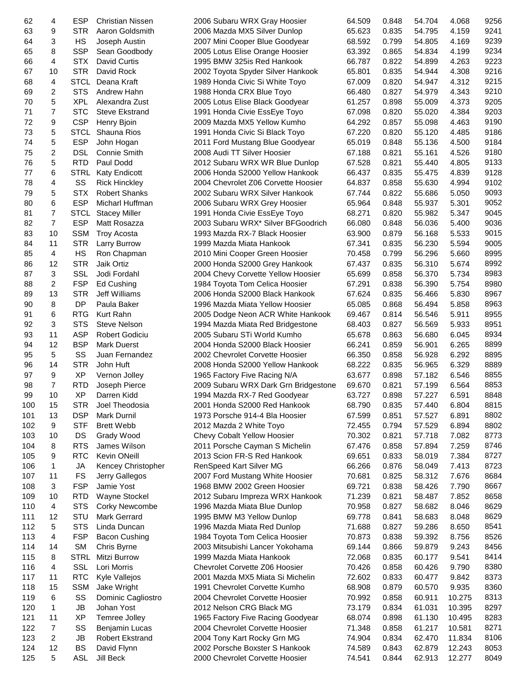| 62  | 4              | ESP         | <b>Christian Nissen</b> | 2006 Subaru WRX Gray Hoosier         | 64.509 | 0.848          | 54.704 | 4.068          | 9256 |
|-----|----------------|-------------|-------------------------|--------------------------------------|--------|----------------|--------|----------------|------|
| 63  | 9              | <b>STR</b>  | Aaron Goldsmith         | 2006 Mazda MX5 Silver Dunlop         | 65.623 | 0.835          | 54.795 | 4.159          | 9241 |
| 64  | 3              | HS          | Joseph Austin           | 2007 Mini Cooper Blue Goodyear       | 68.592 | 0.799          | 54.805 | 4.169          | 9239 |
| 65  | 8              | <b>SSP</b>  | Sean Goodbody           | 2005 Lotus Elise Orange Hoosier      | 63.392 | 0.865          | 54.834 | 4.199          | 9234 |
| 66  | 4              | <b>STX</b>  | David Curtis            | 1995 BMW 325is Red Hankook           | 66.787 | 0.822          | 54.899 | 4.263          | 9223 |
| 67  | 10             | <b>STR</b>  | David Rock              | 2002 Toyota Spyder Silver Hankook    | 65.801 | 0.835          | 54.944 | 4.308          | 9216 |
| 68  | 4              | <b>STCL</b> | Deana Kraft             | 1989 Honda Civic Si White Toyo       | 67.009 | 0.820          | 54.947 | 4.312          | 9215 |
| 69  | 2              | <b>STS</b>  | Andrew Hahn             | 1988 Honda CRX Blue Toyo             | 66.480 | 0.827          | 54.979 | 4.343          | 9210 |
| 70  | 5              | <b>XPL</b>  | Alexandra Zust          | 2005 Lotus Elise Black Goodyear      | 61.257 | 0.898          | 55.009 | 4.373          | 9205 |
| 71  | 7              | <b>STC</b>  | <b>Steve Ekstrand</b>   | 1991 Honda Civie EssEye Toyo         | 67.098 | 0.820          | 55.020 | 4.384          | 9203 |
| 72  | 9              | <b>CSP</b>  | Henry Bjoin             | 2009 Mazda MX5 Yellow Kumho          | 64.292 | 0.857          | 55.098 | 4.463          | 9190 |
| 73  | 5              | <b>STCL</b> | Shauna Rios             | 1991 Honda Civic Si Black Toyo       | 67.220 | 0.820          | 55.120 | 4.485          | 9186 |
| 74  | 5              | <b>ESP</b>  | John Hogan              | 2011 Ford Mustang Blue Goodyear      | 65.019 | 0.848          | 55.136 | 4.500          | 9184 |
| 75  |                | <b>DSL</b>  | <b>Connie Smith</b>     | 2008 Audi TT Silver Hoosier          | 67.188 |                | 55.161 |                | 9180 |
| 76  | 2<br>5         | <b>RTD</b>  | Paul Dodd               |                                      | 67.528 | 0.821<br>0.821 | 55.440 | 4.526<br>4.805 | 9133 |
| 77  |                |             |                         | 2012 Subaru WRX WR Blue Dunlop       |        |                |        |                |      |
|     | 6              | <b>STRL</b> | Katy Endicott           | 2006 Honda S2000 Yellow Hankook      | 66.437 | 0.835          | 55.475 | 4.839          | 9128 |
| 78  | 4              | SS          | <b>Rick Hinckley</b>    | 2004 Chevrolet Z06 Corvette Hoosier  | 64.837 | 0.858          | 55.630 | 4.994          | 9102 |
| 79  | 5              | <b>STX</b>  | <b>Robert Shanks</b>    | 2002 Subaru WRX Silver Hankook       | 67.744 | 0.822          | 55.686 | 5.050          | 9093 |
| 80  | 6              | <b>ESP</b>  | Micharl Huffman         | 2006 Subaru WRX Grey Hoosier         | 65.964 | 0.848          | 55.937 | 5.301          | 9052 |
| 81  | 7              | <b>STCL</b> | <b>Stacey Miller</b>    | 1991 Honda Civie EssEye Toyo         | 68.271 | 0.820          | 55.982 | 5.347          | 9045 |
| 82  | $\overline{7}$ | <b>ESP</b>  | Matt Rosazza            | 2003 Subaru WRX* Silver BFGoodrich   | 66.080 | 0.848          | 56.036 | 5.400          | 9036 |
| 83  | 10             | <b>SSM</b>  | <b>Troy Acosta</b>      | 1993 Mazda RX-7 Black Hoosier        | 63.900 | 0.879          | 56.168 | 5.533          | 9015 |
| 84  | 11             | <b>STR</b>  | Larry Burrow            | 1999 Mazda Miata Hankook             | 67.341 | 0.835          | 56.230 | 5.594          | 9005 |
| 85  | 4              | HS          | Ron Chapman             | 2010 Mini Cooper Green Hoosier       | 70.458 | 0.799          | 56.296 | 5.660          | 8995 |
| 86  | 12             | <b>STR</b>  | Jaik Ortiz              | 2000 Honda S2000 Grey Hankook        | 67.437 | 0.835          | 56.310 | 5.674          | 8992 |
| 87  | 3              | <b>SSL</b>  | Jodi Fordahl            | 2004 Chevy Corvette Yellow Hoosier   | 65.699 | 0.858          | 56.370 | 5.734          | 8983 |
| 88  | 2              | <b>FSP</b>  | Ed Cushing              | 1984 Toyota Tom Celica Hoosier       | 67.291 | 0.838          | 56.390 | 5.754          | 8980 |
| 89  | 13             | <b>STR</b>  | Jeff Williams           | 2006 Honda S2000 Black Hankook       | 67.624 | 0.835          | 56.466 | 5.830          | 8967 |
| 90  | 8              | <b>DP</b>   | Paula Baker             | 1996 Mazda Miata Yellow Hoosier      | 65.085 | 0.868          | 56.494 | 5.858          | 8963 |
| 91  | 6              | <b>RTG</b>  | Kurt Rahn               | 2005 Dodge Neon ACR White Hankook    | 69.467 | 0.814          | 56.546 | 5.911          | 8955 |
| 92  | 3              | <b>STS</b>  | <b>Steve Nelson</b>     | 1994 Mazda Miata Red Bridgestone     | 68.403 | 0.827          | 56.569 | 5.933          | 8951 |
| 93  | 11             | <b>ASP</b>  | <b>Robert Godiciu</b>   | 2005 Subaru STi World Kumho          | 65.678 | 0.863          | 56.680 | 6.045          | 8934 |
| 94  | 12             | <b>BSP</b>  | <b>Mark Duerst</b>      | 2004 Honda S2000 Black Hoosier       | 66.241 | 0.859          | 56.901 | 6.265          | 8899 |
| 95  | 5              | SS          | Juan Fernandez          | 2002 Chevrolet Corvette Hoosier      | 66.350 | 0.858          | 56.928 | 6.292          | 8895 |
| 96  | 14             | <b>STR</b>  | John Huft               | 2008 Honda S2000 Yellow Hankook      | 68.222 | 0.835          | 56.965 | 6.329          | 8889 |
|     |                |             |                         |                                      |        |                | 57.182 |                |      |
| 97  | 9              | <b>XP</b>   | Vernon Jolley           | 1965 Factory Five Racing N/A         | 63.677 | 0.898          |        | 6.546          | 8855 |
| 98  | 7              | RTD         | Joseph Pierce           | 2009 Subaru WRX Dark Grn Bridgestone | 69.670 | 0.821          | 57.199 | 6.564          | 8853 |
| 99  | 10             | <b>XP</b>   | Darren Kidd             | 1994 Mazda RX-7 Red Goodyear         | 63.727 | 0.898          | 57.227 | 6.591          | 8848 |
| 100 | 15             | STR         | Joel Theodosia          | 2001 Honda S2000 Red Hankook         | 68.790 | 0.835          | 57.440 | 6.804          | 8815 |
| 101 | 13             | <b>DSP</b>  | Mark Durnil             | 1973 Porsche 914-4 Bla Hoosier       | 67.599 | 0.851          | 57.527 | 6.891          | 8802 |
| 102 | 9              | <b>STF</b>  | <b>Brett Webb</b>       | 2012 Mazda 2 White Toyo              | 72.455 | 0.794          | 57.529 | 6.894          | 8802 |
| 103 | 10             | DS          | Grady Wood              | Chevy Cobalt Yellow Hoosier          | 70.302 | 0.821          | 57.718 | 7.082          | 8773 |
| 104 | 8              | <b>RTS</b>  | James Wilson            | 2011 Porsche Cayman S Michelin       | 67.476 | 0.858          | 57.894 | 7.259          | 8746 |
| 105 | 9              | <b>RTC</b>  | Kevin ONeill            | 2013 Scion FR-S Red Hankook          | 69.651 | 0.833          | 58.019 | 7.384          | 8727 |
| 106 | 1              | JA          | Kencey Christopher      | RenSpeed Kart Silver MG              | 66.266 | 0.876          | 58.049 | 7.413          | 8723 |
| 107 | 11             | FS          | Jerry Gallegos          | 2007 Ford Mustang White Hoosier      | 70.681 | 0.825          | 58.312 | 7.676          | 8684 |
| 108 | 3              | <b>FSP</b>  | Jamie Yost              | 1968 BMW 2002 Green Hoosier          | 69.721 | 0.838          | 58.426 | 7.790          | 8667 |
| 109 | 10             | <b>RTD</b>  | Wayne Stockel           | 2012 Subaru Impreza WRX Hankook      | 71.239 | 0.821          | 58.487 | 7.852          | 8658 |
| 110 | 4              | <b>STS</b>  | <b>Corky Newcombe</b>   | 1996 Mazda Miata Blue Dunlop         | 70.958 | 0.827          | 58.682 | 8.046          | 8629 |
| 111 | 12             | STU         | Mark Gerrard            | 1995 BMW M3 Yellow Dunlop            | 69.778 | 0.841          | 58.683 | 8.048          | 8629 |
| 112 | 5              | <b>STS</b>  | Linda Duncan            | 1996 Mazda Miata Red Dunlop          | 71.688 | 0.827          | 59.286 | 8.650          | 8541 |
| 113 | 4              | <b>FSP</b>  | <b>Bacon Cushing</b>    | 1984 Toyota Tom Celica Hoosier       | 70.873 | 0.838          | 59.392 | 8.756          | 8526 |
| 114 | 14             | <b>SM</b>   | Chris Byrne             | 2003 Mitsubishi Lancer Yokohama      | 69.144 | 0.866          | 59.879 | 9.243          | 8456 |
| 115 | 8              | <b>STRL</b> | Mitzi Burrow            | 1999 Mazda Miata Hankook             | 72.068 | 0.835          | 60.177 | 9.541          | 8414 |
| 116 | 4              | <b>SSL</b>  | Lori Morris             | Chevrolet Corvette Z06 Hoosier       | 70.426 | 0.858          | 60.426 | 9.790          | 8380 |
| 117 | 11             | <b>RTC</b>  | Kyle Vallejos           | 2001 Mazda MX5 Miata Si Michelin     | 72.602 | 0.833          | 60.477 | 9.842          | 8373 |
| 118 | 15             | <b>SSM</b>  | Jake Wright             | 1991 Chevrolet Corvette Kumho        | 68.908 | 0.879          | 60.570 | 9.935          | 8360 |
|     |                | SS          |                         |                                      |        |                |        |                | 8313 |
| 119 | 6              |             | Dominic Cagliostro      | 2004 Chevrolet Corvette Hoosier      | 70.992 | 0.858          | 60.911 | 10.275         |      |
| 120 | 1              | <b>JB</b>   | Johan Yost              | 2012 Nelson CRG Black MG             | 73.179 | 0.834          | 61.031 | 10.395         | 8297 |
| 121 | 11             | <b>XP</b>   | Temree Jolley           | 1965 Factory Five Racing Goodyear    | 68.074 | 0.898          | 61.130 | 10.495         | 8283 |
| 122 | 7              | SS          | Benjamin Lucas          | 2004 Chevrolet Corvette Hoosier      | 71.348 | 0.858          | 61.217 | 10.581         | 8271 |
| 123 | 2              | JB          | <b>Robert Ekstrand</b>  | 2004 Tony Kart Rocky Grn MG          | 74.904 | 0.834          | 62.470 | 11.834         | 8106 |
| 124 | 12             | <b>BS</b>   | David Flynn             | 2002 Porsche Boxster S Hankook       | 74.589 | 0.843          | 62.879 | 12.243         | 8053 |
| 125 | 5              | <b>ASL</b>  | Jill Beck               | 2000 Chevrolet Corvette Hoosier      | 74.541 | 0.844          | 62.913 | 12.277         | 8049 |